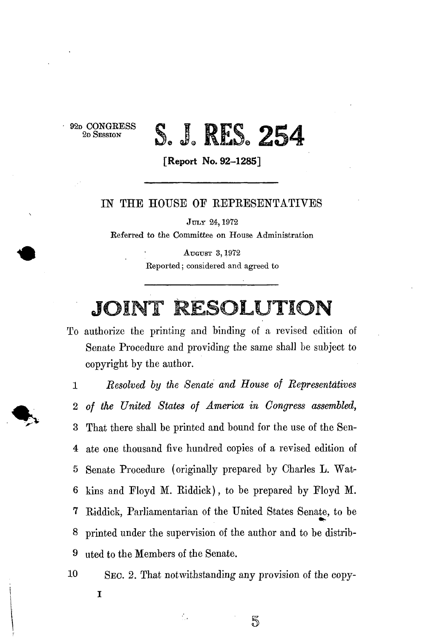**92D CONGEES S 2D SESSION** 

## S. J. RES. 254

**[Report No. 92-1285]** 

## IN THE HOUSE OF REPRESENTATIVES

**JULY 24,1972 Referred to the Committee on House Administration** 

> **AUGUST 3,1972 Reported; considered and agreed to**

## JOINT RESOLUTION

To authorize the printing and binding of a revised edition of Senate Procedure and providing the same shall be subject to copyright by the author.

1 *Resolved by the Senate and House of Representatives*  2 *of the United States of America in Congress assembled,*  **3** That there shall be printed and bound for the use of the Sen-4 ate one thousand five hundred copies of a revised edition of 5 Senate Procedure (originally prepared by Charles L. Wat-6 kins and Floyd M. Riddick), to be prepared by Floyd M. 7 Riddick, Parliamentarian of the United States Senate, to be 8 printed under the supervision of the author and to be distrib-9 uted to the Members of the Senate.

10 SEC. 2. That notwithstanding any provision of the copy-

 $\frac{1}{2}$